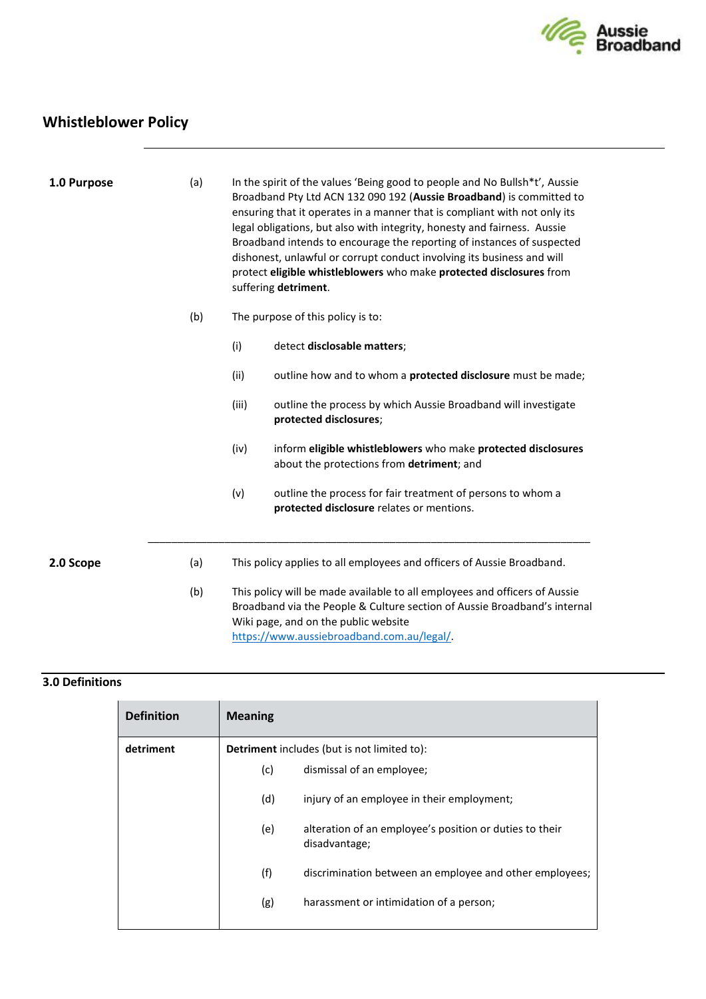

# **Whistleblower Policy**

| 1.0 Purpose | (a) | In the spirit of the values 'Being good to people and No Bullsh*t', Aussie<br>Broadband Pty Ltd ACN 132 090 192 (Aussie Broadband) is committed to<br>ensuring that it operates in a manner that is compliant with not only its<br>legal obligations, but also with integrity, honesty and fairness. Aussie<br>Broadband intends to encourage the reporting of instances of suspected<br>dishonest, unlawful or corrupt conduct involving its business and will<br>protect eligible whistleblowers who make protected disclosures from<br>suffering detriment. |  |  |  |  |
|-------------|-----|----------------------------------------------------------------------------------------------------------------------------------------------------------------------------------------------------------------------------------------------------------------------------------------------------------------------------------------------------------------------------------------------------------------------------------------------------------------------------------------------------------------------------------------------------------------|--|--|--|--|
|             | (b) | The purpose of this policy is to:                                                                                                                                                                                                                                                                                                                                                                                                                                                                                                                              |  |  |  |  |
|             |     | (i)<br>detect disclosable matters;                                                                                                                                                                                                                                                                                                                                                                                                                                                                                                                             |  |  |  |  |
|             |     | (ii)<br>outline how and to whom a protected disclosure must be made;                                                                                                                                                                                                                                                                                                                                                                                                                                                                                           |  |  |  |  |
|             |     | (iii)<br>outline the process by which Aussie Broadband will investigate<br>protected disclosures;                                                                                                                                                                                                                                                                                                                                                                                                                                                              |  |  |  |  |
|             |     | (iv)<br>inform eligible whistleblowers who make protected disclosures<br>about the protections from detriment; and                                                                                                                                                                                                                                                                                                                                                                                                                                             |  |  |  |  |
|             |     | (v)<br>outline the process for fair treatment of persons to whom a<br>protected disclosure relates or mentions.                                                                                                                                                                                                                                                                                                                                                                                                                                                |  |  |  |  |
| 2.0 Scope   | (a) | This policy applies to all employees and officers of Aussie Broadband.                                                                                                                                                                                                                                                                                                                                                                                                                                                                                         |  |  |  |  |
|             | (b) | This policy will be made available to all employees and officers of Aussie<br>Broadband via the People & Culture section of Aussie Broadband's internal<br>Wiki page, and on the public website                                                                                                                                                                                                                                                                                                                                                                |  |  |  |  |

## **3.0 Definitions**

| <b>Definition</b> | <b>Meaning</b>                              |                                                                          |  |  |
|-------------------|---------------------------------------------|--------------------------------------------------------------------------|--|--|
| detriment         | Detriment includes (but is not limited to): |                                                                          |  |  |
|                   | (c)                                         | dismissal of an employee;                                                |  |  |
|                   | (d)                                         | injury of an employee in their employment;                               |  |  |
|                   | (e)                                         | alteration of an employee's position or duties to their<br>disadvantage; |  |  |
|                   | (f)                                         | discrimination between an employee and other employees;                  |  |  |
|                   | (g)                                         | harassment or intimidation of a person;                                  |  |  |

[https://www.aussiebroadband.com.au/legal/.](https://www.aussiebroadband.com.au/legal/)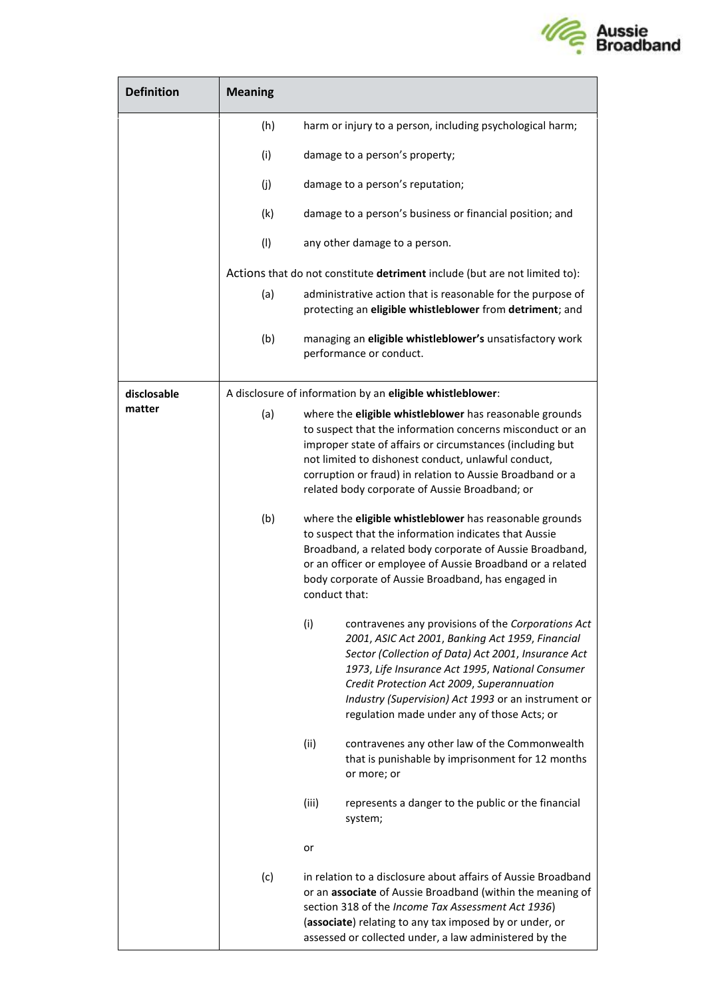

<span id="page-1-0"></span>

| <b>Definition</b> | <b>Meaning</b> |                                                                                                                                                                                                                                                                                                                                                                                                                                                                                                                                                                                                                                                                              |  |
|-------------------|----------------|------------------------------------------------------------------------------------------------------------------------------------------------------------------------------------------------------------------------------------------------------------------------------------------------------------------------------------------------------------------------------------------------------------------------------------------------------------------------------------------------------------------------------------------------------------------------------------------------------------------------------------------------------------------------------|--|
|                   | (h)            | harm or injury to a person, including psychological harm;                                                                                                                                                                                                                                                                                                                                                                                                                                                                                                                                                                                                                    |  |
|                   | (i)            | damage to a person's property;                                                                                                                                                                                                                                                                                                                                                                                                                                                                                                                                                                                                                                               |  |
|                   | (i)            | damage to a person's reputation;                                                                                                                                                                                                                                                                                                                                                                                                                                                                                                                                                                                                                                             |  |
|                   | (k)            | damage to a person's business or financial position; and                                                                                                                                                                                                                                                                                                                                                                                                                                                                                                                                                                                                                     |  |
|                   | (1)            | any other damage to a person.                                                                                                                                                                                                                                                                                                                                                                                                                                                                                                                                                                                                                                                |  |
|                   |                | Actions that do not constitute detriment include (but are not limited to):                                                                                                                                                                                                                                                                                                                                                                                                                                                                                                                                                                                                   |  |
|                   | (a)            | administrative action that is reasonable for the purpose of<br>protecting an eligible whistleblower from detriment; and                                                                                                                                                                                                                                                                                                                                                                                                                                                                                                                                                      |  |
|                   | (b)            | managing an eligible whistleblower's unsatisfactory work<br>performance or conduct.                                                                                                                                                                                                                                                                                                                                                                                                                                                                                                                                                                                          |  |
| disclosable       |                | A disclosure of information by an eligible whistleblower:                                                                                                                                                                                                                                                                                                                                                                                                                                                                                                                                                                                                                    |  |
| matter            | (a)            | where the eligible whistleblower has reasonable grounds<br>to suspect that the information concerns misconduct or an<br>improper state of affairs or circumstances (including but<br>not limited to dishonest conduct, unlawful conduct,<br>corruption or fraud) in relation to Aussie Broadband or a<br>related body corporate of Aussie Broadband; or<br>where the eligible whistleblower has reasonable grounds<br>to suspect that the information indicates that Aussie<br>Broadband, a related body corporate of Aussie Broadband,<br>or an officer or employee of Aussie Broadband or a related<br>body corporate of Aussie Broadband, has engaged in<br>conduct that: |  |
|                   | (b)            |                                                                                                                                                                                                                                                                                                                                                                                                                                                                                                                                                                                                                                                                              |  |
|                   |                | (i)<br>contravenes any provisions of the Corporations Act<br>2001, ASIC Act 2001, Banking Act 1959, Financial<br>Sector (Collection of Data) Act 2001, Insurance Act<br>1973, Life Insurance Act 1995, National Consumer<br>Credit Protection Act 2009, Superannuation<br>Industry (Supervision) Act 1993 or an instrument or<br>regulation made under any of those Acts; or                                                                                                                                                                                                                                                                                                 |  |
|                   |                | (ii)<br>contravenes any other law of the Commonwealth<br>that is punishable by imprisonment for 12 months<br>or more; or                                                                                                                                                                                                                                                                                                                                                                                                                                                                                                                                                     |  |
|                   |                | (iii)<br>represents a danger to the public or the financial<br>system;                                                                                                                                                                                                                                                                                                                                                                                                                                                                                                                                                                                                       |  |
|                   |                | or                                                                                                                                                                                                                                                                                                                                                                                                                                                                                                                                                                                                                                                                           |  |
|                   | (c)            | in relation to a disclosure about affairs of Aussie Broadband<br>or an associate of Aussie Broadband (within the meaning of<br>section 318 of the Income Tax Assessment Act 1936)<br>(associate) relating to any tax imposed by or under, or<br>assessed or collected under, a law administered by the                                                                                                                                                                                                                                                                                                                                                                       |  |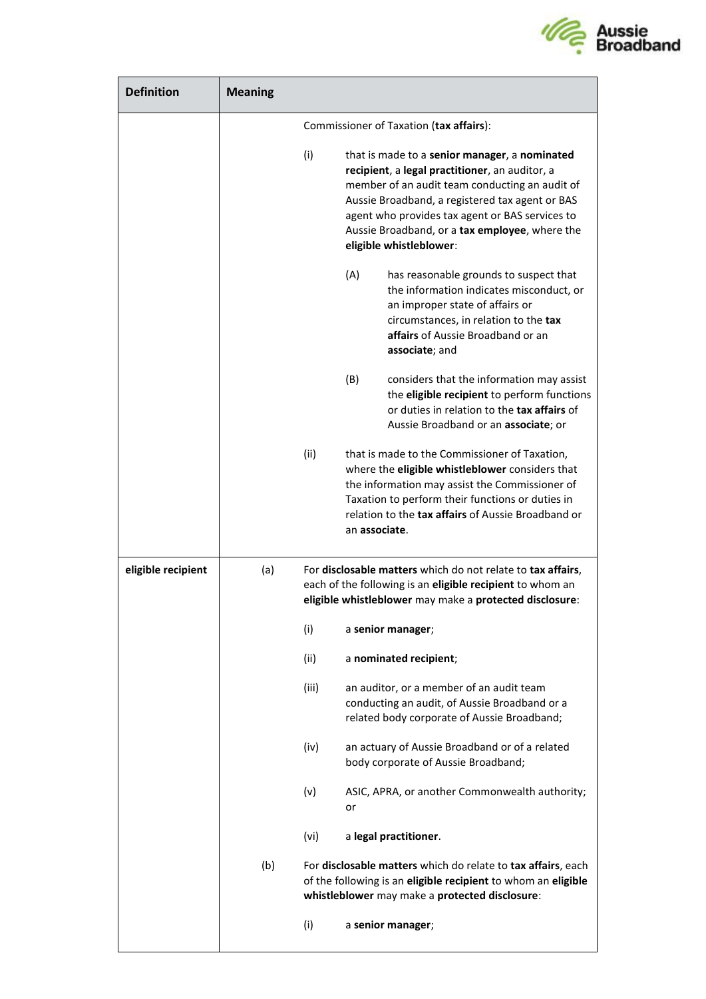

| <b>Definition</b>  | <b>Meaning</b> |                                                                                                                                                                                     |                                                                                                                                                                                                                                                                                                                                      |
|--------------------|----------------|-------------------------------------------------------------------------------------------------------------------------------------------------------------------------------------|--------------------------------------------------------------------------------------------------------------------------------------------------------------------------------------------------------------------------------------------------------------------------------------------------------------------------------------|
|                    |                |                                                                                                                                                                                     | Commissioner of Taxation (tax affairs):                                                                                                                                                                                                                                                                                              |
|                    |                | (i)                                                                                                                                                                                 | that is made to a senior manager, a nominated<br>recipient, a legal practitioner, an auditor, a<br>member of an audit team conducting an audit of<br>Aussie Broadband, a registered tax agent or BAS<br>agent who provides tax agent or BAS services to<br>Aussie Broadband, or a tax employee, where the<br>eligible whistleblower: |
|                    |                |                                                                                                                                                                                     | (A)<br>has reasonable grounds to suspect that<br>the information indicates misconduct, or<br>an improper state of affairs or<br>circumstances, in relation to the tax<br>affairs of Aussie Broadband or an<br>associate; and                                                                                                         |
|                    |                |                                                                                                                                                                                     | (B)<br>considers that the information may assist<br>the eligible recipient to perform functions<br>or duties in relation to the tax affairs of<br>Aussie Broadband or an associate; or                                                                                                                                               |
|                    |                | (ii)                                                                                                                                                                                | that is made to the Commissioner of Taxation,<br>where the eligible whistleblower considers that<br>the information may assist the Commissioner of<br>Taxation to perform their functions or duties in<br>relation to the <b>tax affairs</b> of Aussie Broadband or<br>an associate.                                                 |
| eligible recipient | (a)            | For disclosable matters which do not relate to tax affairs,<br>each of the following is an eligible recipient to whom an<br>eligible whistleblower may make a protected disclosure: |                                                                                                                                                                                                                                                                                                                                      |
|                    |                | (i)                                                                                                                                                                                 | a senior manager;                                                                                                                                                                                                                                                                                                                    |
|                    |                | (ii)                                                                                                                                                                                | a nominated recipient;                                                                                                                                                                                                                                                                                                               |
|                    |                | (iii)                                                                                                                                                                               | an auditor, or a member of an audit team<br>conducting an audit, of Aussie Broadband or a<br>related body corporate of Aussie Broadband;                                                                                                                                                                                             |
|                    |                | (iv)                                                                                                                                                                                | an actuary of Aussie Broadband or of a related<br>body corporate of Aussie Broadband;                                                                                                                                                                                                                                                |
|                    |                | (v)                                                                                                                                                                                 | ASIC, APRA, or another Commonwealth authority;<br>or                                                                                                                                                                                                                                                                                 |
|                    |                | (vi)                                                                                                                                                                                | a legal practitioner.                                                                                                                                                                                                                                                                                                                |
|                    | (b)            |                                                                                                                                                                                     | For disclosable matters which do relate to tax affairs, each<br>of the following is an eligible recipient to whom an eligible<br>whistleblower may make a protected disclosure:                                                                                                                                                      |
|                    |                | (i)                                                                                                                                                                                 | a senior manager;                                                                                                                                                                                                                                                                                                                    |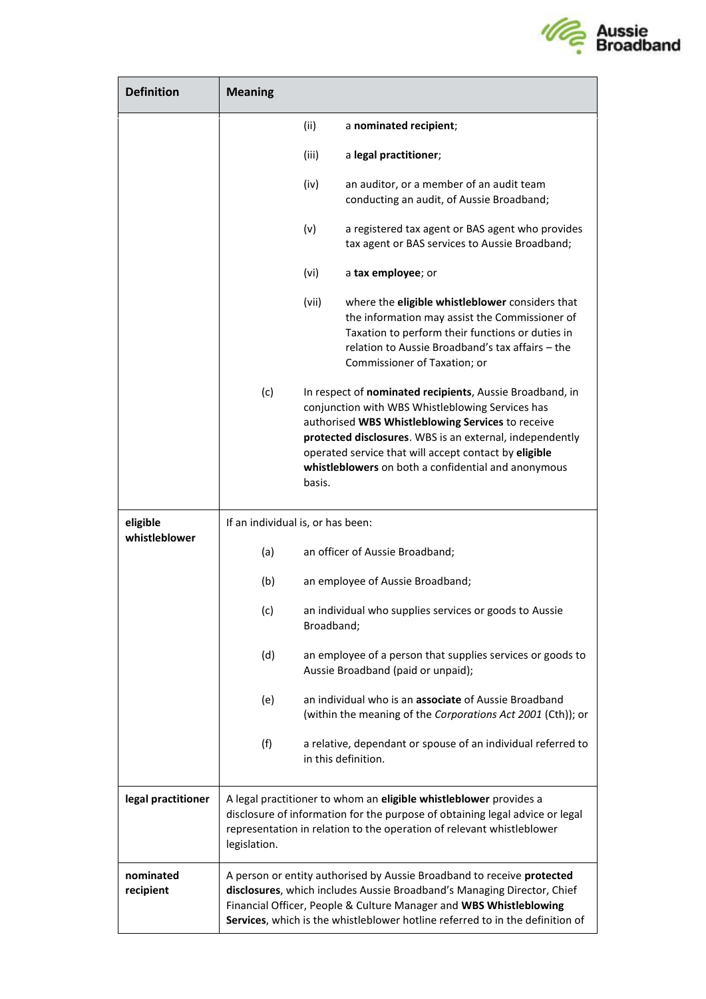

| <b>Definition</b>      | <b>Meaning</b>                                                                                                                                                                                                                                                                                           |                                                                                                                      |                                                                                                                                                                                                                                                                                                                                               |  |
|------------------------|----------------------------------------------------------------------------------------------------------------------------------------------------------------------------------------------------------------------------------------------------------------------------------------------------------|----------------------------------------------------------------------------------------------------------------------|-----------------------------------------------------------------------------------------------------------------------------------------------------------------------------------------------------------------------------------------------------------------------------------------------------------------------------------------------|--|
|                        |                                                                                                                                                                                                                                                                                                          | (ii)                                                                                                                 | a nominated recipient;                                                                                                                                                                                                                                                                                                                        |  |
|                        |                                                                                                                                                                                                                                                                                                          | (iii)                                                                                                                | a legal practitioner;                                                                                                                                                                                                                                                                                                                         |  |
|                        |                                                                                                                                                                                                                                                                                                          | (iv)                                                                                                                 | an auditor, or a member of an audit team<br>conducting an audit, of Aussie Broadband;                                                                                                                                                                                                                                                         |  |
|                        |                                                                                                                                                                                                                                                                                                          | (v)                                                                                                                  | a registered tax agent or BAS agent who provides<br>tax agent or BAS services to Aussie Broadband;                                                                                                                                                                                                                                            |  |
|                        |                                                                                                                                                                                                                                                                                                          | (vi)                                                                                                                 | a tax employee; or                                                                                                                                                                                                                                                                                                                            |  |
|                        |                                                                                                                                                                                                                                                                                                          | (vii)                                                                                                                | where the eligible whistleblower considers that<br>the information may assist the Commissioner of<br>Taxation to perform their functions or duties in<br>relation to Aussie Broadband's tax affairs - the<br>Commissioner of Taxation; or                                                                                                     |  |
|                        | (c)                                                                                                                                                                                                                                                                                                      | basis.                                                                                                               | In respect of nominated recipients, Aussie Broadband, in<br>conjunction with WBS Whistleblowing Services has<br>authorised WBS Whistleblowing Services to receive<br>protected disclosures. WBS is an external, independently<br>operated service that will accept contact by eligible<br>whistleblowers on both a confidential and anonymous |  |
| eligible               |                                                                                                                                                                                                                                                                                                          | If an individual is, or has been:                                                                                    |                                                                                                                                                                                                                                                                                                                                               |  |
| whistleblower          | (a)                                                                                                                                                                                                                                                                                                      |                                                                                                                      | an officer of Aussie Broadband;                                                                                                                                                                                                                                                                                                               |  |
|                        | (b)                                                                                                                                                                                                                                                                                                      |                                                                                                                      | an employee of Aussie Broadband;                                                                                                                                                                                                                                                                                                              |  |
|                        | (c)                                                                                                                                                                                                                                                                                                      | an individual who supplies services or goods to Aussie<br>Broadband;                                                 |                                                                                                                                                                                                                                                                                                                                               |  |
|                        | (d)                                                                                                                                                                                                                                                                                                      | an employee of a person that supplies services or goods to<br>Aussie Broadband (paid or unpaid);                     |                                                                                                                                                                                                                                                                                                                                               |  |
|                        | (e)                                                                                                                                                                                                                                                                                                      | an individual who is an associate of Aussie Broadband<br>(within the meaning of the Corporations Act 2001 (Cth)); or |                                                                                                                                                                                                                                                                                                                                               |  |
|                        | (f)                                                                                                                                                                                                                                                                                                      |                                                                                                                      | a relative, dependant or spouse of an individual referred to<br>in this definition.                                                                                                                                                                                                                                                           |  |
| legal practitioner     | A legal practitioner to whom an eligible whistleblower provides a<br>disclosure of information for the purpose of obtaining legal advice or legal<br>representation in relation to the operation of relevant whistleblower<br>legislation.                                                               |                                                                                                                      |                                                                                                                                                                                                                                                                                                                                               |  |
| nominated<br>recipient | A person or entity authorised by Aussie Broadband to receive protected<br>disclosures, which includes Aussie Broadband's Managing Director, Chief<br>Financial Officer, People & Culture Manager and WBS Whistleblowing<br>Services, which is the whistleblower hotline referred to in the definition of |                                                                                                                      |                                                                                                                                                                                                                                                                                                                                               |  |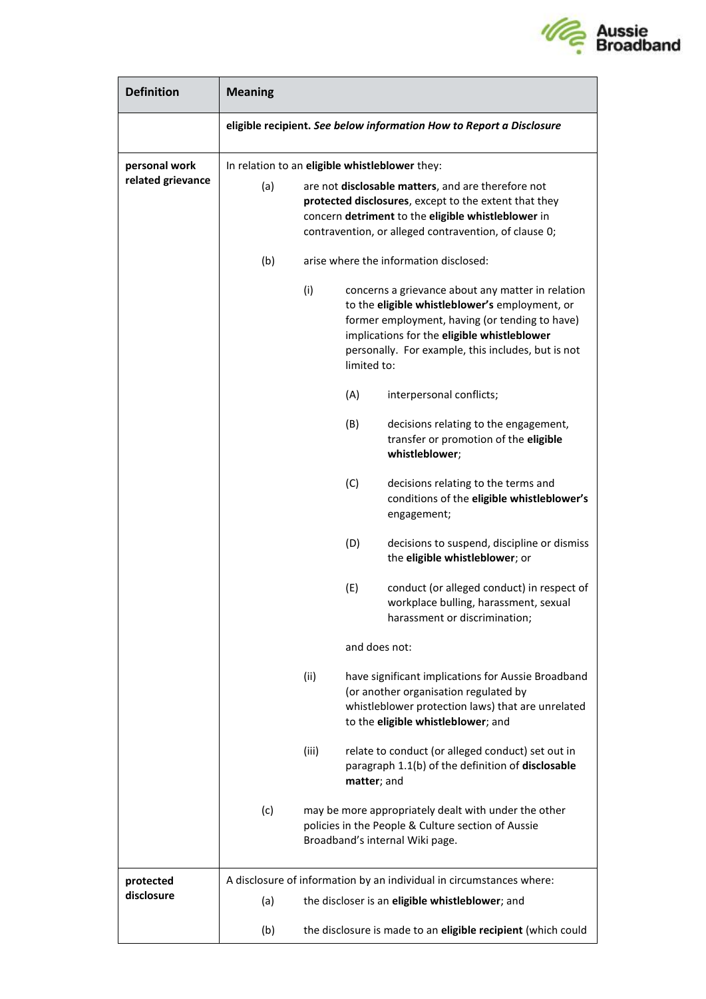

| <b>Definition</b>                  | <b>Meaning</b>                                                       |                                                                                                                                                                                                                            |               |                                                                                                                                                                                                                                                            |  |  |
|------------------------------------|----------------------------------------------------------------------|----------------------------------------------------------------------------------------------------------------------------------------------------------------------------------------------------------------------------|---------------|------------------------------------------------------------------------------------------------------------------------------------------------------------------------------------------------------------------------------------------------------------|--|--|
|                                    | eligible recipient. See below information How to Report a Disclosure |                                                                                                                                                                                                                            |               |                                                                                                                                                                                                                                                            |  |  |
| personal work<br>related grievance | In relation to an eligible whistleblower they:                       |                                                                                                                                                                                                                            |               |                                                                                                                                                                                                                                                            |  |  |
|                                    | (a)                                                                  | are not disclosable matters, and are therefore not<br>protected disclosures, except to the extent that they<br>concern detriment to the eligible whistleblower in<br>contravention, or alleged contravention, of clause 0; |               |                                                                                                                                                                                                                                                            |  |  |
|                                    | (b)                                                                  | arise where the information disclosed:                                                                                                                                                                                     |               |                                                                                                                                                                                                                                                            |  |  |
|                                    |                                                                      | (i)                                                                                                                                                                                                                        | limited to:   | concerns a grievance about any matter in relation<br>to the eligible whistleblower's employment, or<br>former employment, having (or tending to have)<br>implications for the eligible whistleblower<br>personally. For example, this includes, but is not |  |  |
|                                    |                                                                      |                                                                                                                                                                                                                            | (A)           | interpersonal conflicts;                                                                                                                                                                                                                                   |  |  |
|                                    |                                                                      |                                                                                                                                                                                                                            | (B)           | decisions relating to the engagement,<br>transfer or promotion of the eligible<br>whistleblower;                                                                                                                                                           |  |  |
|                                    |                                                                      |                                                                                                                                                                                                                            | (C)           | decisions relating to the terms and<br>conditions of the eligible whistleblower's<br>engagement;                                                                                                                                                           |  |  |
|                                    |                                                                      |                                                                                                                                                                                                                            | (D)           | decisions to suspend, discipline or dismiss<br>the eligible whistleblower; or                                                                                                                                                                              |  |  |
|                                    |                                                                      |                                                                                                                                                                                                                            | (E)           | conduct (or alleged conduct) in respect of<br>workplace bulling, harassment, sexual<br>harassment or discrimination;                                                                                                                                       |  |  |
|                                    |                                                                      |                                                                                                                                                                                                                            | and does not: |                                                                                                                                                                                                                                                            |  |  |
|                                    |                                                                      | (ii)                                                                                                                                                                                                                       |               | have significant implications for Aussie Broadband<br>(or another organisation regulated by<br>whistleblower protection laws) that are unrelated<br>to the eligible whistleblower; and                                                                     |  |  |
|                                    |                                                                      | (iii)                                                                                                                                                                                                                      | matter; and   | relate to conduct (or alleged conduct) set out in<br>paragraph 1.1(b) of the definition of disclosable                                                                                                                                                     |  |  |
|                                    | (c)                                                                  |                                                                                                                                                                                                                            |               | may be more appropriately dealt with under the other<br>policies in the People & Culture section of Aussie<br>Broadband's internal Wiki page.                                                                                                              |  |  |
| protected                          |                                                                      |                                                                                                                                                                                                                            |               | A disclosure of information by an individual in circumstances where:                                                                                                                                                                                       |  |  |
| disclosure                         | (a)                                                                  | the discloser is an eligible whistleblower; and                                                                                                                                                                            |               |                                                                                                                                                                                                                                                            |  |  |
|                                    | (b)                                                                  |                                                                                                                                                                                                                            |               | the disclosure is made to an eligible recipient (which could                                                                                                                                                                                               |  |  |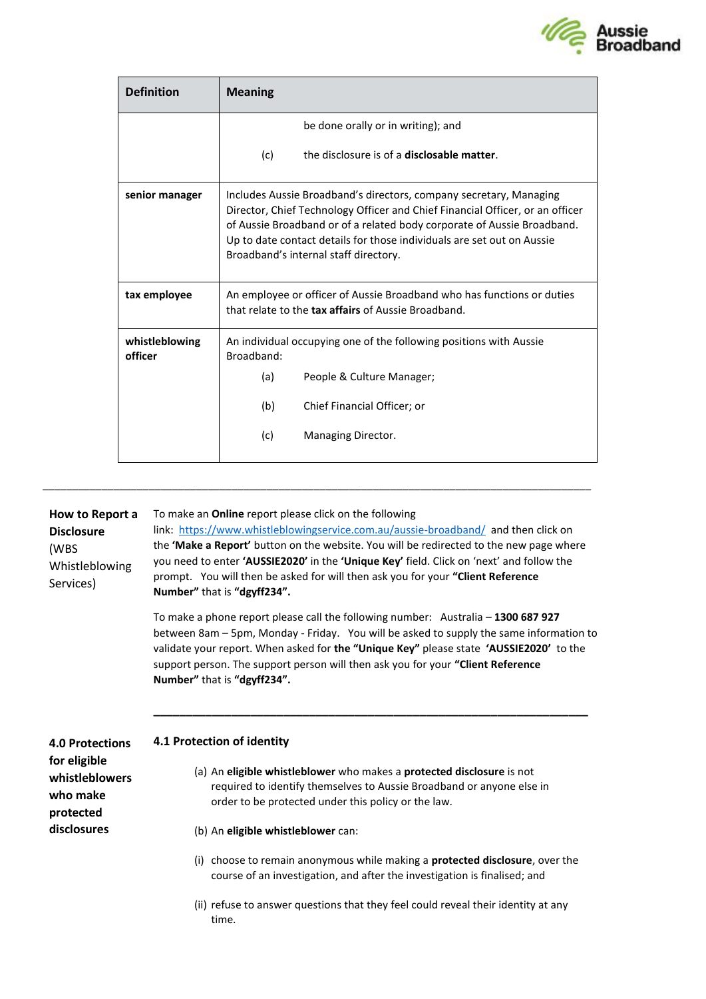

| <b>Definition</b>         | <b>Meaning</b>                                                                                                                                                                                                                                                                                                                                    |  |  |  |
|---------------------------|---------------------------------------------------------------------------------------------------------------------------------------------------------------------------------------------------------------------------------------------------------------------------------------------------------------------------------------------------|--|--|--|
|                           | be done orally or in writing); and                                                                                                                                                                                                                                                                                                                |  |  |  |
|                           | the disclosure is of a <b>disclosable matter</b> .<br>(c)                                                                                                                                                                                                                                                                                         |  |  |  |
| senior manager            | Includes Aussie Broadband's directors, company secretary, Managing<br>Director, Chief Technology Officer and Chief Financial Officer, or an officer<br>of Aussie Broadband or of a related body corporate of Aussie Broadband.<br>Up to date contact details for those individuals are set out on Aussie<br>Broadband's internal staff directory. |  |  |  |
| tax employee              | An employee or officer of Aussie Broadband who has functions or duties<br>that relate to the <b>tax affairs</b> of Aussie Broadband.                                                                                                                                                                                                              |  |  |  |
| whistleblowing<br>officer | An individual occupying one of the following positions with Aussie<br>Broadband:                                                                                                                                                                                                                                                                  |  |  |  |
|                           | (a)<br>People & Culture Manager;                                                                                                                                                                                                                                                                                                                  |  |  |  |
|                           | (b)<br>Chief Financial Officer; or                                                                                                                                                                                                                                                                                                                |  |  |  |
|                           | (c)<br>Managing Director.                                                                                                                                                                                                                                                                                                                         |  |  |  |

**How to Report a Disclosure** (WBS Whistleblowing Services) **4.0 Protections for eligible whistleblowers who make protected disclosures** To make an **Online** report please click on the following link: <https://www.whistleblowingservice.com.au/aussie-broadband/> and then click on the **'Make a Report'** button on the website. You will be redirected to the new page where you need to enter **'AUSSIE2020'** in the **'Unique Key'** field. Click on 'next' and follow the prompt. You will then be asked for will then ask you for your **"Client Reference Number"** that is **"dgyff234".** To make a phone report please call the following number: Australia – **1300 687 927** between 8am – 5pm, Monday - Friday. You will be asked to supply the same information to validate your report. When asked for **the "Unique Key"** please state **'AUSSIE2020'** to the support person. The support person will then ask you for your **"Client Reference Number"** that is **"dgyff234". \_\_\_\_\_\_\_\_\_\_\_\_\_\_\_\_\_\_\_\_\_\_\_\_\_\_\_\_\_\_\_\_\_\_\_\_\_\_\_\_\_\_\_\_\_\_\_\_\_\_\_\_\_\_\_\_\_\_\_\_\_\_\_\_\_\_\_ 4.1 Protection of identity** (a) An **eligible whistleblower** who makes a **protected disclosure** is not required to identify themselves to Aussie Broadband or anyone else in order to be protected under this policy or the law. (b) An **eligible whistleblower** can: (i) choose to remain anonymous while making a **protected disclosure**, over the course of an investigation, and after the investigation is finalised; and (ii) refuse to answer questions that they feel could reveal their identity at any time.

\_\_\_\_\_\_\_\_\_\_\_\_\_\_\_\_\_\_\_\_\_\_\_\_\_\_\_\_\_\_\_\_\_\_\_\_\_\_\_\_\_\_\_\_\_\_\_\_\_\_\_\_\_\_\_\_\_\_\_\_\_\_\_\_\_\_\_\_\_\_\_\_\_\_\_\_\_\_\_\_\_\_\_\_\_\_\_\_\_\_\_\_\_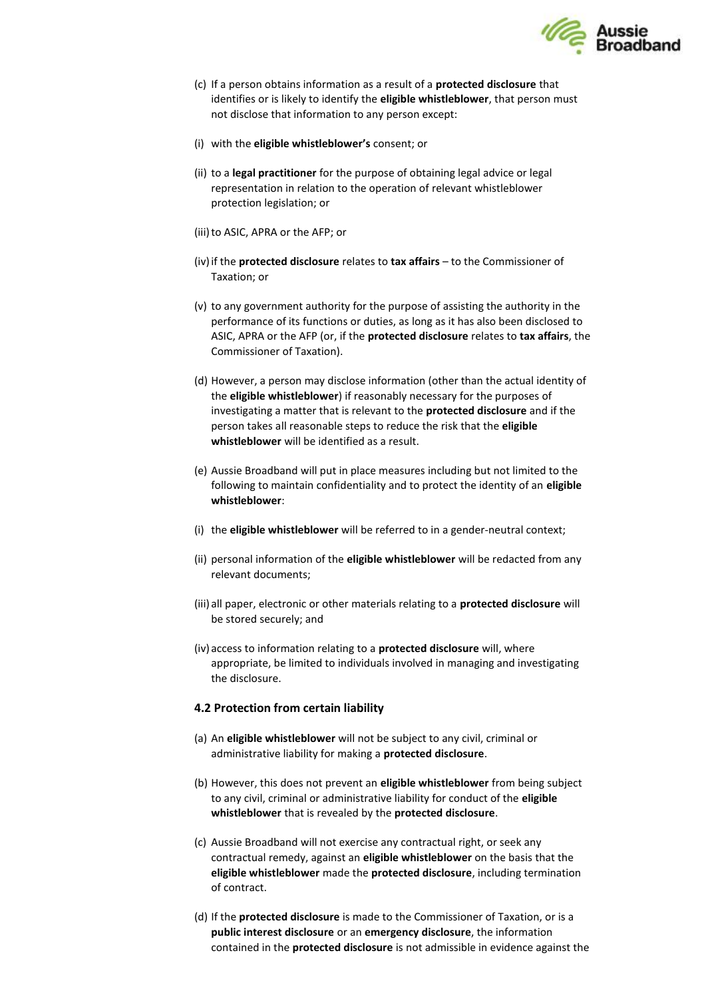

- (c) If a person obtains information as a result of a **protected disclosure** that identifies or is likely to identify the **eligible whistleblower**, that person must not disclose that information to any person except:
- (i) with the **eligible whistleblower's** consent; or
- (ii) to a **legal practitioner** for the purpose of obtaining legal advice or legal representation in relation to the operation of relevant whistleblower protection legislation; or
- (iii) to ASIC, APRA or the AFP; or
- (iv)if the **protected disclosure** relates to **tax affairs** to the Commissioner of Taxation; or
- (v) to any government authority for the purpose of assisting the authority in the performance of its functions or duties, as long as it has also been disclosed to ASIC, APRA or the AFP (or, if the **protected disclosure** relates to **tax affairs**, the Commissioner of Taxation).
- (d) However, a person may disclose information (other than the actual identity of the **eligible whistleblower**) if reasonably necessary for the purposes of investigating a matter that is relevant to the **protected disclosure** and if the person takes all reasonable steps to reduce the risk that the **eligible whistleblower** will be identified as a result.
- (e) Aussie Broadband will put in place measures including but not limited to the following to maintain confidentiality and to protect the identity of an **eligible whistleblower**:
- (i) the **eligible whistleblower** will be referred to in a gender-neutral context;
- (ii) personal information of the **eligible whistleblower** will be redacted from any relevant documents;
- (iii) all paper, electronic or other materials relating to a **protected disclosure** will be stored securely; and
- (iv) access to information relating to a **protected disclosure** will, where appropriate, be limited to individuals involved in managing and investigating the disclosure.

#### **4.2 Protection from certain liability**

- (a) An **eligible whistleblower** will not be subject to any civil, criminal or administrative liability for making a **protected disclosure**.
- (b) However, this does not prevent an **eligible whistleblower** from being subject to any civil, criminal or administrative liability for conduct of the **eligible whistleblower** that is revealed by the **protected disclosure**.
- (c) Aussie Broadband will not exercise any contractual right, or seek any contractual remedy, against an **eligible whistleblower** on the basis that the **eligible whistleblower** made the **protected disclosure**, including termination of contract.
- (d) If the **protected disclosure** is made to the Commissioner of Taxation, or is a **public interest disclosure** or an **emergency disclosure**, the information contained in the **protected disclosure** is not admissible in evidence against the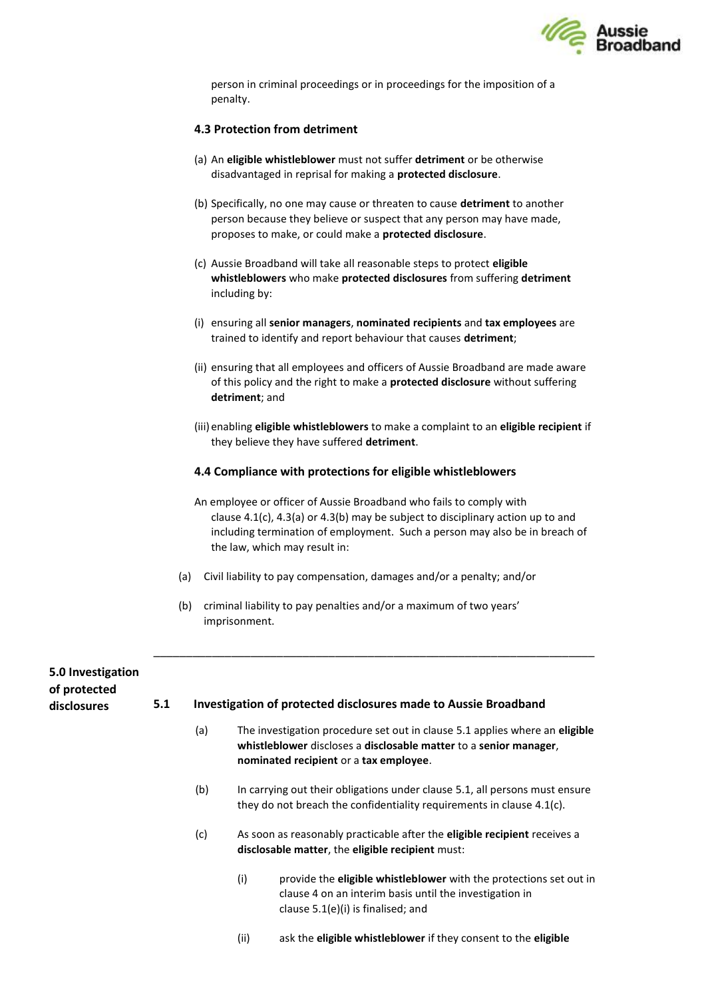

person in criminal proceedings or in proceedings for the imposition of a penalty.

## <span id="page-7-0"></span>**4.3 Protection from detriment**

- (a) An **eligible whistleblower** must not suffer **detriment** or be otherwise disadvantaged in reprisal for making a **protected disclosure**.
- (b) Specifically, no one may cause or threaten to cause **detriment** to another person because they believe or suspect that any person may have made, proposes to make, or could make a **protected disclosure**.
- (c) Aussie Broadband will take all reasonable steps to protect **eligible whistleblowers** who make **protected disclosures** from suffering **detriment** including by:
- (i) ensuring all **senior managers**, **nominated recipients** and **tax employees** are trained to identify and report behaviour that causes **detriment**;
- (ii) ensuring that all employees and officers of Aussie Broadband are made aware of this policy and the right to make a **protected disclosure** without suffering **detriment**; and
- (iii) enabling **eligible whistleblowers** to make a complaint to an **eligible recipient** if they believe they have suffered **detriment**.

### **4.4 Compliance with protections for eligible whistleblowers**

- An employee or officer of Aussie Broadband who fails to comply with clause 4.1(c), 4.3(a) or 4.3(b) may be subject to disciplinary action up to and including termination of employment. Such a person may also be in breach of the law, which may result in:
- (a) Civil liability to pay compensation, damages and/or a penalty; and/or

\_\_\_\_\_\_\_\_\_\_\_\_\_\_\_\_\_\_\_\_\_\_\_\_\_\_\_\_\_\_\_\_\_\_\_\_\_\_\_\_\_\_\_\_\_\_\_\_\_\_\_\_\_\_\_\_\_\_\_\_\_\_\_\_\_\_\_\_

(b) criminal liability to pay penalties and/or a maximum of two years' imprisonment.

| 5.0 Investigation<br>of protected |     |                                                                 |                                                                                                                                                                                            |  |  |
|-----------------------------------|-----|-----------------------------------------------------------------|--------------------------------------------------------------------------------------------------------------------------------------------------------------------------------------------|--|--|
| disclosures                       | 5.1 | Investigation of protected disclosures made to Aussie Broadband |                                                                                                                                                                                            |  |  |
|                                   |     | (a)                                                             | The investigation procedure set out in clause 5.1 applies where an eligible<br>whistleblower discloses a disclosable matter to a senior manager,<br>nominated recipient or a tax employee. |  |  |
|                                   |     | (b)                                                             | In carrying out their obligations under clause 5.1, all persons must ensure<br>they do not breach the confidentiality requirements in clause 4.1(c).                                       |  |  |
|                                   |     | (c)                                                             | As soon as reasonably practicable after the <b>eligible recipient</b> receives a<br><b>disclosable matter, the eligible recipient must:</b>                                                |  |  |
|                                   |     |                                                                 | (i)<br>provide the <b>eligible whistleblower</b> with the protections set out in<br>clause 4 on an interim basis until the investigation in<br>clause $5.1(e)(i)$ is finalised; and        |  |  |
|                                   |     |                                                                 |                                                                                                                                                                                            |  |  |

(ii) ask the **eligible whistleblower** if they consent to the **eligible**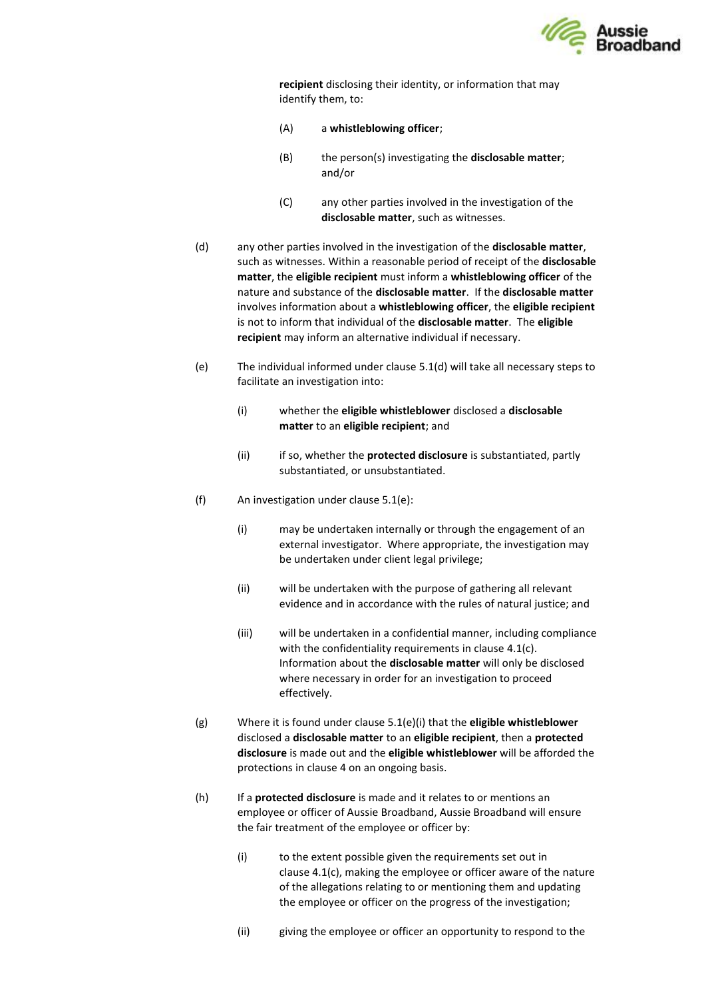

**recipient** disclosing their identity, or information that may identify them, to:

- (A) a **whistleblowing officer**;
- (B) the person(s) investigating the **disclosable matter**; and/or
- (C) any other parties involved in the investigation of the **disclosable matter**, such as witnesses.
- (d) any other parties involved in the investigation of the **disclosable matter**, such as witnesses. Within a reasonable period of receipt of the **disclosable matter**, the **eligible recipient** must inform a **whistleblowing officer** of the nature and substance of the **disclosable matter**. If the **disclosable matter** involves information about a **whistleblowing officer**, the **eligible recipient** is not to inform that individual of the **disclosable matter**. The **eligible recipient** may inform an alternative individual if necessary.
- (e) The individual informed under clause 5.1(d) will take all necessary steps to facilitate an investigation into:
	- (i) whether the **eligible whistleblower** disclosed a **disclosable matter** to an **eligible recipient**; and
	- (ii) if so, whether the **protected disclosure** is substantiated, partly substantiated, or unsubstantiated.
- (f) An investigation under clause 5.1(e):
	- (i) may be undertaken internally or through the engagement of an external investigator. Where appropriate, the investigation may be undertaken under client legal privilege;
	- (ii) will be undertaken with the purpose of gathering all relevant evidence and in accordance with the rules of natural justice; and
	- (iii) will be undertaken in a confidential manner, including compliance with the confidentiality requirements in clause 4.1(c). Information about the **disclosable matter** will only be disclosed where necessary in order for an investigation to proceed effectively.
- (g) Where it is found under clause 5.1(e)(i) that the **eligible whistleblower** disclosed a **disclosable matter** to an **eligible recipient**, then a **protected disclosure** is made out and the **eligible whistleblower** will be afforded the protections in clause 4 on an ongoing basis.
- (h) If a **protected disclosure** is made and it relates to or mentions an employee or officer of Aussie Broadband, Aussie Broadband will ensure the fair treatment of the employee or officer by:
	- (i) to the extent possible given the requirements set out in clause 4.1(c), making the employee or officer aware of the nature of the allegations relating to or mentioning them and updating the employee or officer on the progress of the investigation;
	- (ii) giving the employee or officer an opportunity to respond to the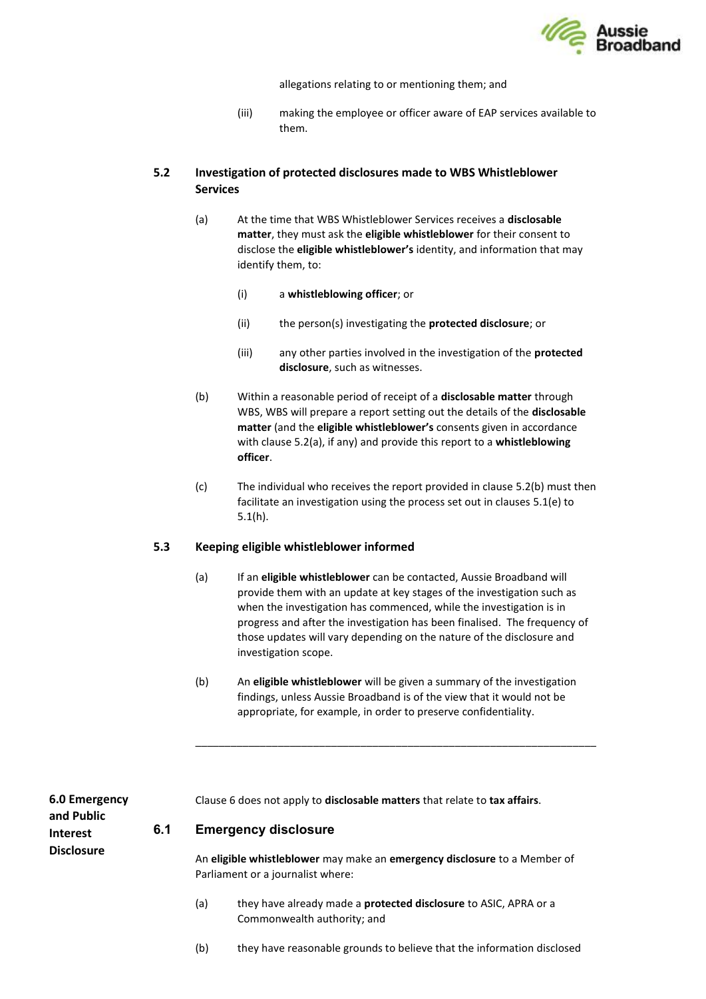

allegations relating to or mentioning them; and

(iii) making the employee or officer aware of EAP services available to them.

## **5.2 Investigation of protected disclosures made to WBS Whistleblower Services**

- <span id="page-9-0"></span>(a) At the time that WBS Whistleblower Services receives a **disclosable matter**, they must ask the **eligible whistleblower** for their consent to disclose the **eligible whistleblower's** identity, and information that may identify them, to:
	- (i) a **whistleblowing officer**; or
	- (ii) the person(s) investigating the **protected disclosure**; or
	- (iii) any other parties involved in the investigation of the **protected disclosure**, such as witnesses.
- <span id="page-9-1"></span>(b) Within a reasonable period of receipt of a **disclosable matter** through WBS, WBS will prepare a report setting out the details of the **disclosable matter** (and the **eligible whistleblower's** consents given in accordance with clause [5.2\(a\),](#page-9-0) if any) and provide this report to a **whistleblowing officer**.
- (c) The individual who receives the report provided in clause [5.2\(b\)](#page-9-1) must then facilitate an investigation using the process set out in clauses 5.1(e) to 5.1(h).

#### **5.3 Keeping eligible whistleblower informed**

- (a) If an **eligible whistleblower** can be contacted, Aussie Broadband will provide them with an update at key stages of the investigation such as when the investigation has commenced, while the investigation is in progress and after the investigation has been finalised. The frequency of those updates will vary depending on the nature of the disclosure and investigation scope.
- (b) An **eligible whistleblower** will be given a summary of the investigation findings, unless Aussie Broadband is of the view that it would not be appropriate, for example, in order to preserve confidentiality.

\_\_\_\_\_\_\_\_\_\_\_\_\_\_\_\_\_\_\_\_\_\_\_\_\_\_\_\_\_\_\_\_\_\_\_\_\_\_\_\_\_\_\_\_\_\_\_\_\_\_\_\_\_\_\_\_\_\_\_\_\_\_\_\_\_\_\_\_

**6.0 Emergency and Public Interest Disclosure** Clause 6 does not apply to **disclosable matters** that relate to **tax affairs**. **6.1 Emergency disclosure** An **eligible whistleblower** may make an **emergency disclosure** to a Member of Parliament or a journalist where: (a) they have already made a **protected disclosure** to ASIC, APRA or a Commonwealth authority; and

(b) they have reasonable grounds to believe that the information disclosed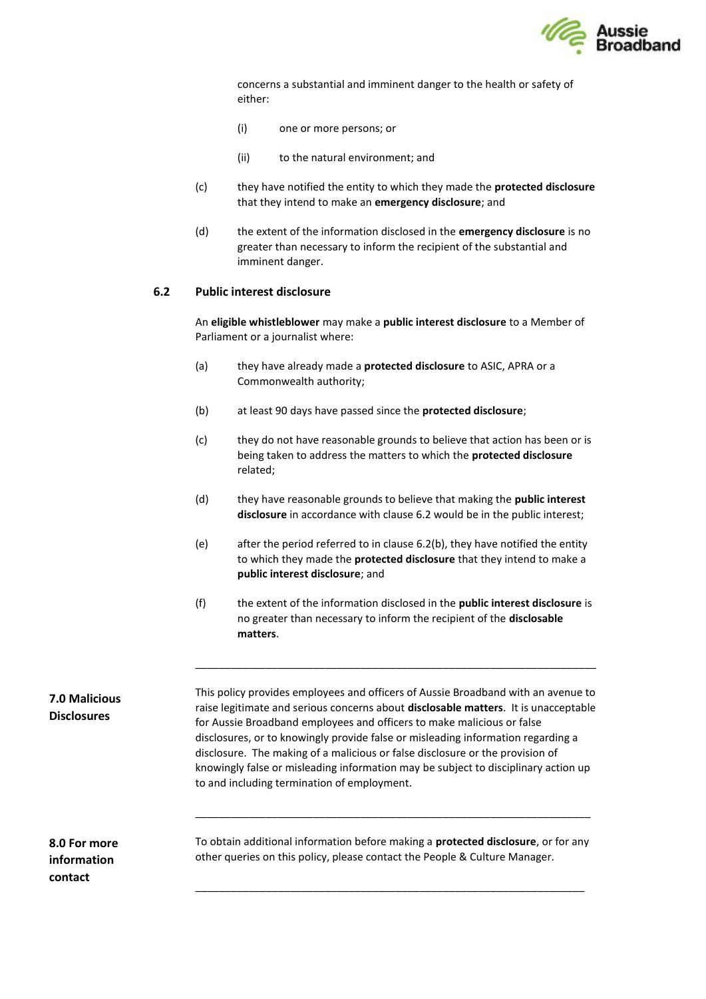

concerns a substantial and imminent danger to the health or safety of either:

- (i) one or more persons; or
- (ii) to the natural environment; and
- (c) they have notified the entity to which they made the **protected disclosure** that they intend to make an **emergency disclosure**; and
- (d) the extent of the information disclosed in the **emergency disclosure** is no greater than necessary to inform the recipient of the substantial and imminent danger.

## <span id="page-10-0"></span>**6.2 Public interest disclosure**

An **eligible whistleblower** may make a **public interest disclosure** to a Member of Parliament or a journalist where:

- (a) they have already made a **protected disclosure** to ASIC, APRA or a Commonwealth authority;
- <span id="page-10-1"></span>(b) at least 90 days have passed since the **protected disclosure**;
- (c) they do not have reasonable grounds to believe that action has been or is being taken to address the matters to which the **protected disclosure** related;
- (d) they have reasonable grounds to believe that making the **public interest disclosure** in accordance with clause [6.2](#page-10-0) would be in the public interest;
- (e) after the period referred to in clause [6.2\(b\),](#page-10-1) they have notified the entity to which they made the **protected disclosure** that they intend to make a **public interest disclosure**; and
- (f) the extent of the information disclosed in the **public interest disclosure** is no greater than necessary to inform the recipient of the **disclosable matters**.

\_\_\_\_\_\_\_\_\_\_\_\_\_\_\_\_\_\_\_\_\_\_\_\_\_\_\_\_\_\_\_\_\_\_\_\_\_\_\_\_\_\_\_\_\_\_\_\_\_\_\_\_\_\_\_\_\_\_\_\_\_\_\_\_\_\_\_\_

**7.0 Malicious Disclosures**

This policy provides employees and officers of Aussie Broadband with an avenue to raise legitimate and serious concerns about **disclosable matters**. It is unacceptable for Aussie Broadband employees and officers to make malicious or false disclosures, or to knowingly provide false or misleading information regarding a disclosure. The making of a malicious or false disclosure or the provision of knowingly false or misleading information may be subject to disciplinary action up to and including termination of employment.

**8.0 For more information contact**

To obtain additional information before making a **protected disclosure**, or for any other queries on this policy, please contact the People & Culture Manager.

\_\_\_\_\_\_\_\_\_\_\_\_\_\_\_\_\_\_\_\_\_\_\_\_\_\_\_\_\_\_\_\_\_\_\_\_\_\_\_\_\_\_\_\_\_\_\_\_\_\_\_\_\_\_\_\_\_\_\_\_\_\_\_\_\_\_

\_\_\_\_\_\_\_\_\_\_\_\_\_\_\_\_\_\_\_\_\_\_\_\_\_\_\_\_\_\_\_\_\_\_\_\_\_\_\_\_\_\_\_\_\_\_\_\_\_\_\_\_\_\_\_\_\_\_\_\_\_\_\_\_\_\_\_